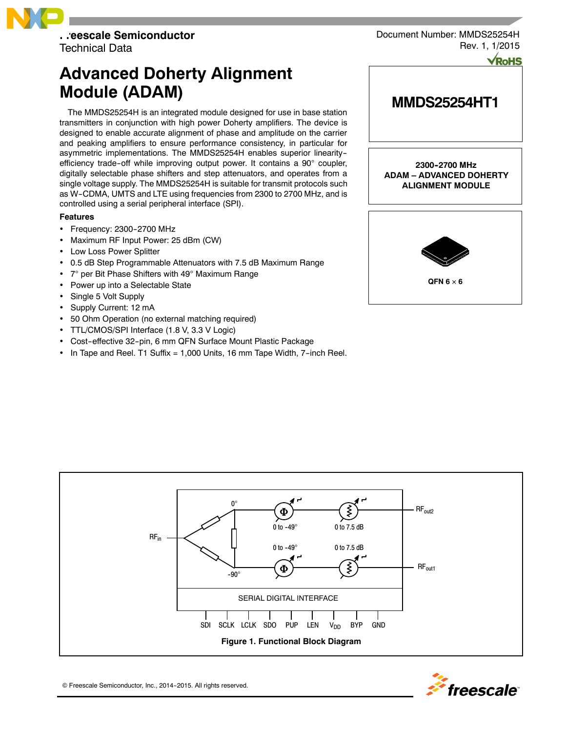

**Advanced Doherty Alignment Module (ADAM)**

The MMDS25254H is an integrated module designed for use in base station transmitters in conjunction with high power Doherty amplifiers. The device is designed to enable accurate alignment of phase and amplitude on the carrier and peaking amplifiers to ensure performance consistency, in particular for asymmetric implementations. The MMDS25254H enables superior linearity- efficiency trade-off while improving output power. It contains a  $90^\circ$  coupler, digitally selectable phase shifters and step attenuators, and operates from a single voltage supply. The MMDS25254H is suitable for transmit protocols such as W--CDMA, UMTS and LTE using frequencies from 2300 to 2700 MHz, and is controlled using a serial peripheral interface (SPI).

#### **Features**

- Frequency: 2300-2700 MHz
- Maximum RF Input Power: 25 dBm (CW)
- Low Loss Power Splitter
- 0.5 dB Step Programmable Attenuators with 7.5 dB Maximum Range
- 7° per Bit Phase Shifters with 49° Maximum Range
- Power up into a Selectable State
- Single 5 Volt Supply
- Supply Current: 12 mA
- 50 Ohm Operation (no external matching required)
- TTL/CMOS/SPI Interface (1.8 V, 3.3 V Logic)
- Cost-effective 32-pin, 6 mm QFN Surface Mount Plastic Package
- In Tape and Reel. T1 Suffix = 1,000 Units, 16 mm Tape Width, 7--inch Reel.

Document Number: MMDS25254H Rev. 1, 1/2015

# **MMDS25254HT1**

**2300--2700 MHz ADAM – ADVANCED DOHERTY ALIGNMENT MODULE**







© Freescale Semiconductor, Inc., 2014-2015. All rights reserved.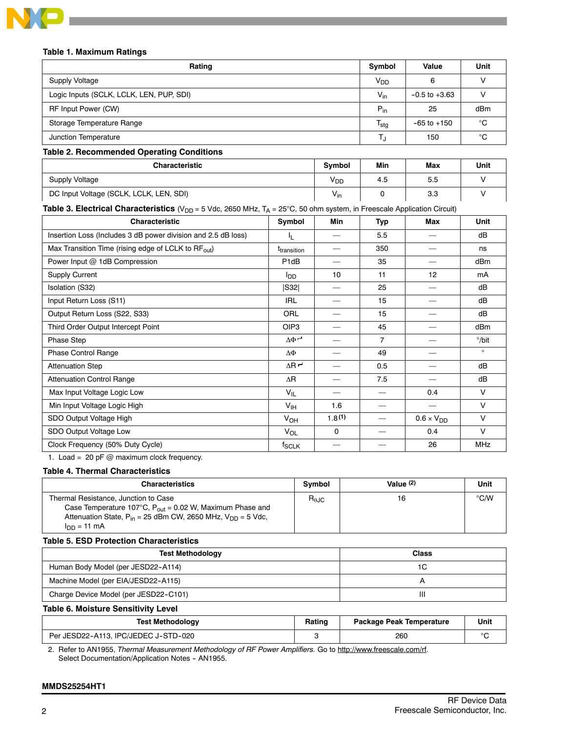

### **Table 1. Maximum Ratings**

| Rating                                   | Symbol           | Value             | Unit |
|------------------------------------------|------------------|-------------------|------|
| Supply Voltage                           | $V_{DD}$         |                   |      |
| Logic Inputs (SCLK, LCLK, LEN, PUP, SDI) | $V_{\text{in}}$  | $-0.5$ to $+3.63$ |      |
| RF Input Power (CW)                      | $P_{in}$         | 25                | dBm  |
| Storage Temperature Range                | $T_{\text{stg}}$ | $-65$ to $+150$   | °С   |
| Junction Temperature                     |                  | 150               | °C   |
|                                          |                  |                   |      |

#### **Table 2. Recommended Operating Conditions**

| <b>Characteristic</b>                   | <b>Symbol</b>   | Min | Max | Unit |
|-----------------------------------------|-----------------|-----|-----|------|
| <b>Supply Voltage</b>                   | YDD             | 4.5 | 5.5 |      |
| DC Input Voltage (SCLK, LCLK, LEN, SDI) | $V_{\text{in}}$ |     | 3.3 |      |

# **Table 3. Electrical Characteristics** (V<sub>DD</sub> = 5 Vdc, 2650 MHz, T<sub>A</sub> = 25°C, 50 ohm system, in Freescale Application Circuit)

| <b>Characteristic</b>                                           | Symbol                         | Min    | Typ            | Max                 | Unit            |
|-----------------------------------------------------------------|--------------------------------|--------|----------------|---------------------|-----------------|
| Insertion Loss (Includes 3 dB power division and 2.5 dB loss)   | IL.                            |        | 5.5            |                     | dB              |
| Max Transition Time (rising edge of LCLK to RF <sub>out</sub> ) | <b>T</b> <sub>transition</sub> |        | 350            |                     | ns              |
| Power Input @ 1dB Compression                                   | P <sub>1</sub> dB              |        | 35             |                     | dB <sub>m</sub> |
| <b>Supply Current</b>                                           | $I_{DD}$                       | 10     | 11             | 12                  | mA              |
| Isolation (S32)                                                 | S32                            |        | 25             |                     | dB              |
| Input Return Loss (S11)                                         | IRL                            |        | 15             |                     | dB              |
| Output Return Loss (S22, S33)                                   | ORL                            |        | 15             |                     | dB              |
| Third Order Output Intercept Point                              | OIP <sub>3</sub>               |        | 45             |                     | dB <sub>m</sub> |
| Phase Step                                                      | $\Delta \Phi$ $\sim$           |        | $\overline{7}$ |                     | $^{\circ}/$ bit |
| Phase Control Range                                             | ΔΦ                             |        | 49             |                     | $\circ$         |
| <b>Attenuation Step</b>                                         | $\Delta$ R $\sim$              | $\sim$ | 0.5            |                     | dB              |
| <b>Attenuation Control Range</b>                                | ΔR                             |        | 7.5            |                     | dB              |
| Max Input Voltage Logic Low                                     | $V_{IL}$                       |        |                | 0.4                 | $\vee$          |
| Min Input Voltage Logic High                                    | $V_{\text{IH}}$                | 1.6    |                |                     | $\vee$          |
| SDO Output Voltage High                                         | $V_{OH}$                       | 1.8(1) |                | $0.6 \times V_{DD}$ | $\vee$          |
| SDO Output Voltage Low                                          | VOL                            | 0      |                | 0.4                 | $\vee$          |
| Clock Frequency (50% Duty Cycle)                                | $f_{\rm SCLK}$                 |        |                | 26                  | <b>MHz</b>      |

1. Load = 20 pF @ maximum clock frequency.

#### **Table 4. Thermal Characteristics**

| <b>Characteristics</b>                                                                                                                                                                                   | Symbol     | Value $(2)$ | Unit          |
|----------------------------------------------------------------------------------------------------------------------------------------------------------------------------------------------------------|------------|-------------|---------------|
| Thermal Resistance, Junction to Case<br>Case Temperature 107°C, $P_{\text{out}} = 0.02$ W, Maximum Phase and<br>Attenuation State, $P_{in}$ = 25 dBm CW, 2650 MHz, $V_{DD}$ = 5 Vdc,<br>$I_{DD} = 11$ mA | $R_{0,IC}$ | 16          | $\degree$ C/W |

## **Table 5. ESD Protection Characteristics**

| <b>Test Methodology</b>               | <b>Class</b> |
|---------------------------------------|--------------|
| Human Body Model (per JESD22-A114)    | 1C           |
| Machine Model (per EIA/JESD22-A115)   |              |
| Charge Device Model (per JESD22-C101) | Ш            |

**Table 6. Moisture Sensitivity Level**

| <b>Test Methodology</b>              | Rating | <b>Package Peak Temperature</b> | Unit |
|--------------------------------------|--------|---------------------------------|------|
| Per JESD22-A113. IPC/JEDEC J-STD-020 |        | 260                             |      |

2. Refer to AN1955, *Thermal Measurement Methodology of RF Power Amplifiers.* Go to http://www.freescale.com/rf. Select Documentation/Application Notes - AN1955.

#### **MMDS25254HT1**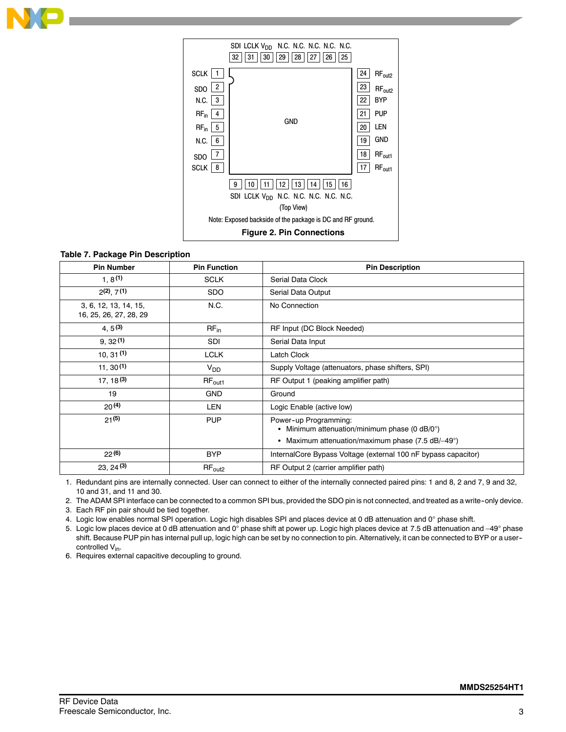



## **Table 7. Package Pin Description**

| <b>Pin Number</b>                               | <b>Pin Function</b> | <b>Pin Description</b>                                                                                                       |
|-------------------------------------------------|---------------------|------------------------------------------------------------------------------------------------------------------------------|
| 1, 8(1)                                         | <b>SCLK</b>         | Serial Data Clock                                                                                                            |
| $2(2)$ , $7(1)$                                 | <b>SDO</b>          | Serial Data Output                                                                                                           |
| 3, 6, 12, 13, 14, 15,<br>16, 25, 26, 27, 28, 29 | N.C.                | No Connection                                                                                                                |
| 4, 5(3)                                         | $RF_{in}$           | RF Input (DC Block Needed)                                                                                                   |
| 9, 32(1)                                        | SDI                 | Serial Data Input                                                                                                            |
| 10, 31(1)                                       | <b>LCLK</b>         | Latch Clock                                                                                                                  |
| 11, 30(1)                                       | V <sub>DD</sub>     | Supply Voltage (attenuators, phase shifters, SPI)                                                                            |
| $17, 18^{(3)}$                                  | $RF_{\text{out1}}$  | RF Output 1 (peaking amplifier path)                                                                                         |
| 19                                              | <b>GND</b>          | Ground                                                                                                                       |
| 20(4)                                           | LEN                 | Logic Enable (active low)                                                                                                    |
| $21^{(5)}$                                      | <b>PUP</b>          | Power-up Programming:<br>Minimum attenuation/minimum phase (0 dB/0°)<br>٠<br>Maximum attenuation/maximum phase (7.5 dB/-49°) |
| 22(6)                                           | <b>BYP</b>          | InternalCore Bypass Voltage (external 100 nF bypass capacitor)                                                               |
| 23, 24(3)                                       | $RF_{out2}$         | RF Output 2 (carrier amplifier path)                                                                                         |

1. Redundant pins are internally connected. User can connect to either of the internally connected paired pins: 1 and 8, 2 and 7, 9 and 32, 10 and 31, and 11 and 30.

2. The ADAM SPI interface can be connected to a common SPI bus, provided the SDO pin is not connected, and treated as a write--only device.

3. Each RF pin pair should be tied together.

4. Logic low enables normal SPI operation. Logic high disables SPI and places device at 0 dB attenuation and 0° phase shift.

5. Logic low places device at 0 dB attenuation and 0° phase shift at power up. Logic high places device at 7.5 dB attenuation and -49° phase shift. Because PUP pin has internal pull up, logic high can be set by no connection to pin. Alternatively, it can be connected to BYP or a user- controlled V<sub>in</sub>.

6. Requires external capacitive decoupling to ground.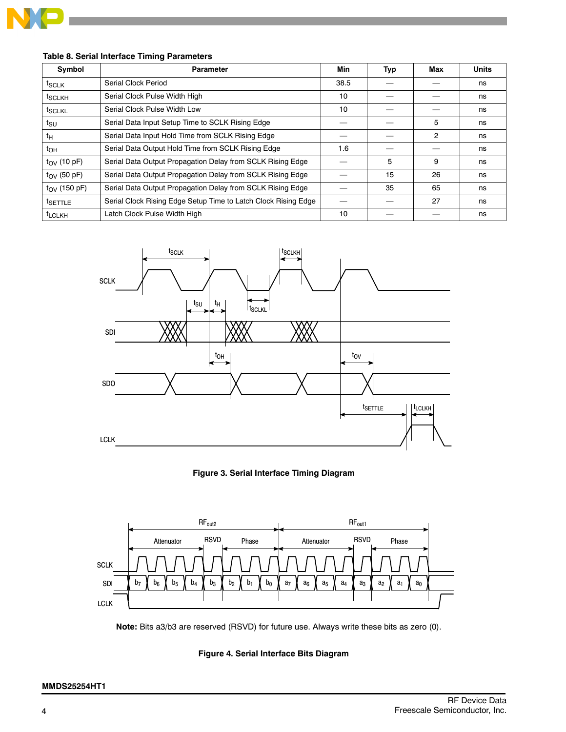

| Symbol                | <b>Parameter</b>                                               | Min  | Typ | Max | <b>Units</b> |
|-----------------------|----------------------------------------------------------------|------|-----|-----|--------------|
| t <sub>SCLK</sub>     | Serial Clock Period                                            | 38.5 |     |     | ns           |
| <sup>t</sup> SCLKH    | Serial Clock Pulse Width High                                  | 10   |     |     | ns           |
| <sup>t</sup> SCLKL    | Serial Clock Pulse Width Low                                   | 10   |     |     | ns           |
| tsu                   | Serial Data Input Setup Time to SCLK Rising Edge               |      |     | 5   | ns           |
| tн                    | Serial Data Input Hold Time from SCLK Rising Edge              |      |     | 2   | ns           |
| $t_{OH}$              | Serial Data Output Hold Time from SCLK Rising Edge             | 1.6  |     |     | ns           |
| $t_{\rm OV}$ (10 pF)  | Serial Data Output Propagation Delay from SCLK Rising Edge     |      | 5   | 9   | ns           |
| $t_{\rm OV}$ (50 pF)  | Serial Data Output Propagation Delay from SCLK Rising Edge     |      | 15  | 26  | ns           |
| $t_{\rm OV}$ (150 pF) | Serial Data Output Propagation Delay from SCLK Rising Edge     |      | 35  | 65  | ns           |
| <sup>t</sup> SETTLE   | Serial Clock Rising Edge Setup Time to Latch Clock Rising Edge |      |     | 27  | ns           |
| <sup>t</sup> LCLKH    | Latch Clock Pulse Width High                                   | 10   |     |     | ns           |





**Figure 3. Serial Interface Timing Diagram**



**Note:** Bits a3/b3 are reserved (RSVD) for future use. Always write these bits as zero (0).

## **Figure 4. Serial Interface Bits Diagram**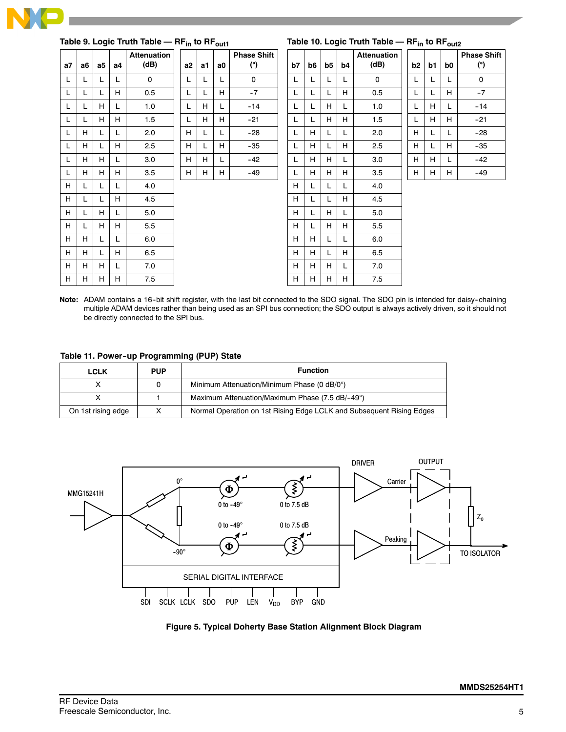

| Table 9. Logic Truth Table - RF <sub>in</sub> to RF <sub>out1</sub> |    |                |    |                            |    |    | Table 10. Logic Truth Table - RF <sub>in</sub> to RF <sub>out2</sub> |                           |    |    |    |    |                            |                |    |    |                           |
|---------------------------------------------------------------------|----|----------------|----|----------------------------|----|----|----------------------------------------------------------------------|---------------------------|----|----|----|----|----------------------------|----------------|----|----|---------------------------|
| a7                                                                  | a6 | a <sub>5</sub> | а4 | <b>Attenuation</b><br>(dB) | a2 | a1 | a0                                                                   | <b>Phase Shift</b><br>(°) | b7 | b6 | b5 | b4 | <b>Attenuation</b><br>(dB) | b <sub>2</sub> | b1 | b0 | <b>Phase Shift</b><br>(°) |
| L                                                                   | L. | L              | L  | $\mathbf{0}$               | L  | L  | L.                                                                   | $\mathbf 0$               | L  |    | L  | L  | $\Omega$                   | L              | L  | L  | $\mathbf 0$               |
| L                                                                   | L  | L              | H  | 0.5                        | L  | L  | H.                                                                   | $-7$                      | L  |    | L  | H  | 0.5                        | L              | L  | H  | $-7$                      |
| L                                                                   | L  | H              | L  | 1.0                        | L  | H  |                                                                      | $-14$                     | L  |    | H  | L  | 1.0                        | L              | H  | L  | $-14$                     |
| L                                                                   |    | H              | H  | 1.5                        | L  | H  | H.                                                                   | $-21$                     | L  |    | H  | H  | 1.5                        | L              | H  | H  | $-21$                     |
| L                                                                   | H  | L              | L  | 2.0                        | H  |    |                                                                      | $-28$                     | L  | H  | L  | L  | 2.0                        | H              | L  | L  | $-28$                     |
| L                                                                   | H  | L              | H  | 2.5                        | H  | L  | H.                                                                   | $-35$                     | L  | H  | L  | H  | 2.5                        | H              | L  | H  | $-35$                     |
| L                                                                   | H  | H              | L  | 3.0                        | H  | H  | L.                                                                   | $-42$                     | L  | H  | H  | L  | 3.0                        | H              | H  | L  | $-42$                     |
| L                                                                   | H  | H              | H  | 3.5                        | H  | H  | H.                                                                   | $-49$                     | L  | H  | H  | H  | 3.5                        | H              | H  | H. | $-49$                     |
| H                                                                   | L  | L              | L  | 4.0                        |    |    |                                                                      |                           | H  |    | L  | L  | 4.0                        |                |    |    |                           |
| H                                                                   | L  | L              | H  | 4.5                        |    |    |                                                                      |                           | H  |    | L  | H  | 4.5                        |                |    |    |                           |
| H                                                                   | L  | H              | L  | 5.0                        |    |    |                                                                      |                           | H  |    | H  | L  | 5.0                        |                |    |    |                           |
| H                                                                   | L  | H              | H  | 5.5                        |    |    |                                                                      |                           | H  |    | H  | H  | 5.5                        |                |    |    |                           |
| H                                                                   | H  | L              | L  | 6.0                        |    |    |                                                                      |                           | H  | н  | L  | L  | 6.0                        |                |    |    |                           |
| H                                                                   | H  | L              | H  | 6.5                        |    |    |                                                                      |                           | H  | H  | L  | H  | 6.5                        |                |    |    |                           |
| H                                                                   | H  | H              | L  | 7.0                        |    |    |                                                                      |                           | H  | H. | H  | L  | 7.0                        |                |    |    |                           |
| H                                                                   | H  | H.             | H  | 7.5                        |    |    |                                                                      |                           | H  | H. | H  | H  | 7.5                        |                |    |    |                           |

Note: ADAM contains a 16-bit shift register, with the last bit connected to the SDO signal. The SDO pin is intended for daisy-chaining multiple ADAM devices rather than being used as an SPI bus connection; the SDO output is always actively driven, so it should not be directly connected to the SPI bus.

**Table 11. Power--up Programming (PUP) State**

| <b>LCLK</b>        | <b>PUP</b> | <b>Function</b>                                                      |
|--------------------|------------|----------------------------------------------------------------------|
|                    |            | Minimum Attenuation/Minimum Phase (0 dB/0°)                          |
|                    |            | Maximum Attenuation/Maximum Phase (7.5 dB/-49°)                      |
| On 1st rising edge |            | Normal Operation on 1st Rising Edge LCLK and Subsequent Rising Edges |



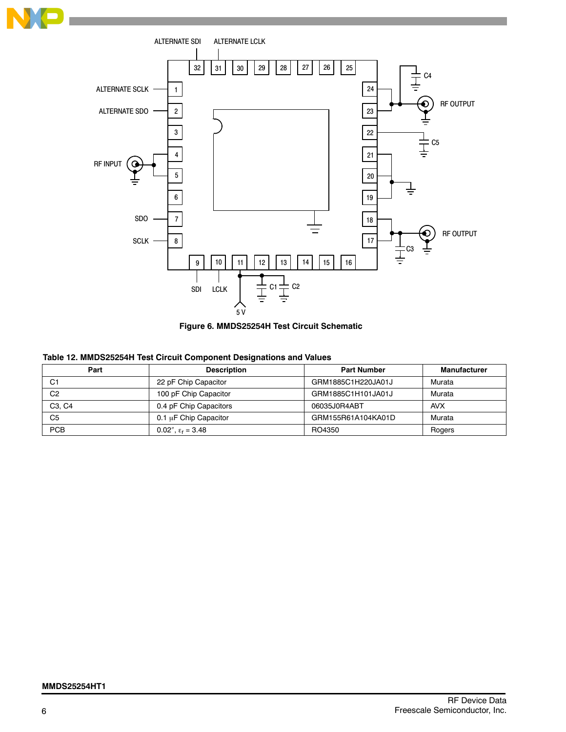





## **Table 12. MMDS25254H Test Circuit Component Designations and Values**

| Part                            | <b>Description</b>           | <b>Part Number</b> | <b>Manufacturer</b> |
|---------------------------------|------------------------------|--------------------|---------------------|
| C1                              | 22 pF Chip Capacitor         | GRM1885C1H220JA01J | Murata              |
| C2                              | 100 pF Chip Capacitor        | GRM1885C1H101JA01J | Murata              |
| C <sub>3</sub> , C <sub>4</sub> | 0.4 pF Chip Capacitors       | 06035J0R4ABT       | <b>AVX</b>          |
| C5                              | 0.1 µF Chip Capacitor        | GRM155R61A104KA01D | Murata              |
| <b>PCB</b>                      | 0.02", $\epsilon_{r}$ = 3.48 | RO4350             | Rogers              |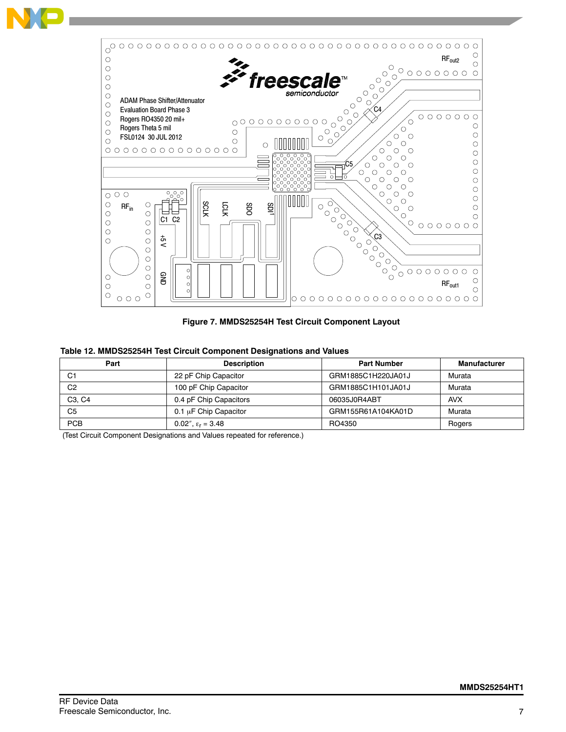

**Figure 7. MMDS25254H Test Circuit Component Layout**

| Part                            | <b>Description</b>         |                    | Manufacturer |
|---------------------------------|----------------------------|--------------------|--------------|
| C1                              | 22 pF Chip Capacitor       | GRM1885C1H220JA01J | Murata       |
| C <sub>2</sub>                  | 100 pF Chip Capacitor      | GRM1885C1H101JA01J | Murata       |
| C <sub>3</sub> . C <sub>4</sub> | 0.4 pF Chip Capacitors     | 06035J0R4ABT       | <b>AVX</b>   |
| C5                              | $0.1 \mu$ F Chip Capacitor | GRM155R61A104KA01D | Murata       |
| <b>PCB</b>                      | 0.02", $\epsilon_r = 3.48$ | RO4350             | Rogers       |

(Test Circuit Component Designations and Values repeated for reference.)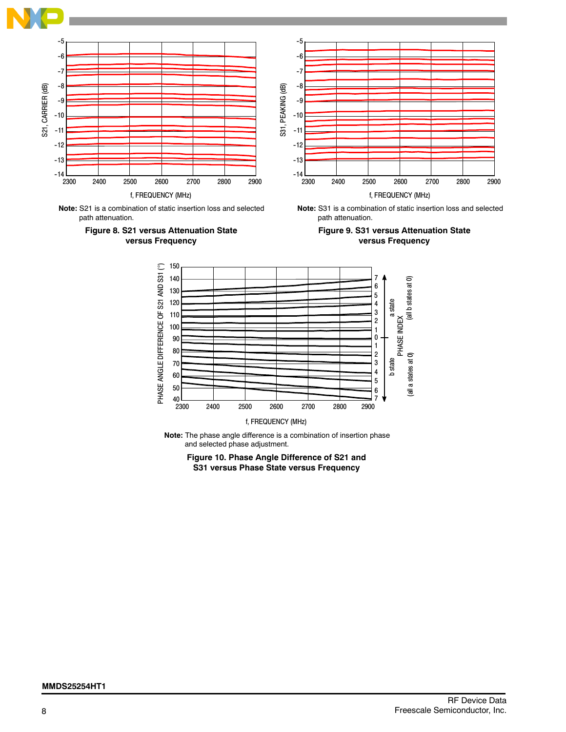

**Note:** S21 is a combination of static insertion loss and selected path attenuation.





path attenuation.



f, FREQUENCY (MHz)

**Note:** The phase angle difference is a combination of insertion phase and selected phase adjustment.

**Figure 10. Phase Angle Difference of S21 and S31 versus Phase State versus Frequency**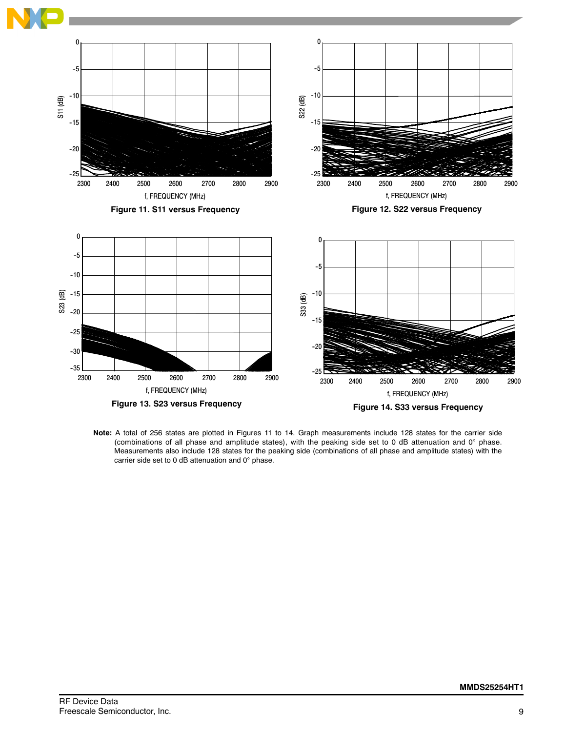

**Note:** A total of 256 states are plotted in Figures 11 to 14. Graph measurements include 128 states for the carrier side (combinations of all phase and amplitude states), with the peaking side set to 0 dB attenuation and  $0^\circ$  phase. Measurements also include 128 states for the peaking side (combinations of all phase and amplitude states) with the carrier side set to 0 dB attenuation and  $0^\circ$  phase.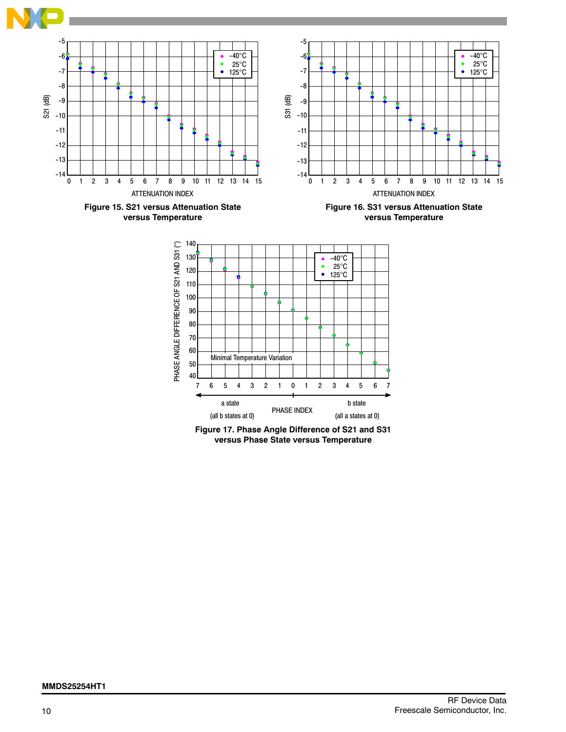

**Figure 17. Phase Angle Difference of S21 and S31 versus Phase State versus Temperature**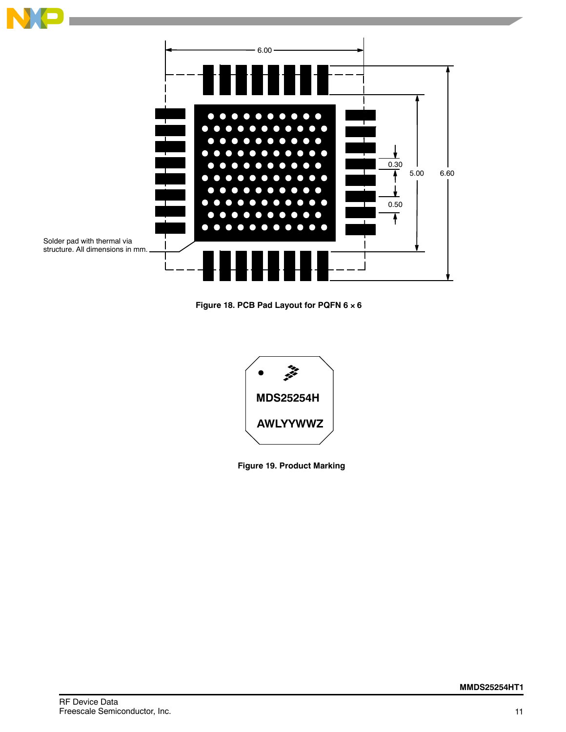

**Figure 18. PCB Pad Layout for PQFN 6 6**



**Figure 19. Product Marking**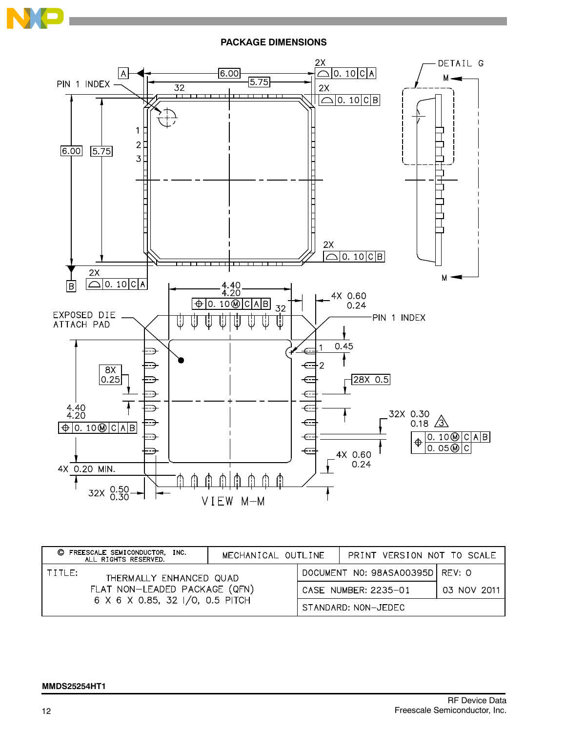

**PACKAGE DIMENSIONS**



| C FREESCALE SEMICONDUCTOR,<br>INC.<br>ALL RIGHTS RESERVED.                                            |  | MECHANICAL OUTLINE              |  | PRINT VERSION NOT TO SCALE |             |
|-------------------------------------------------------------------------------------------------------|--|---------------------------------|--|----------------------------|-------------|
| TITLE:<br>THERMALLY ENHANCED QUAD<br>FLAT NON-LEADED PACKAGE (QFN)<br>6 X 6 X 0.85, 32 I/O, 0.5 PITCH |  | DOCUMENT NO: 98ASA00395D REV: 0 |  |                            |             |
|                                                                                                       |  |                                 |  | CASE NUMBER: 2235-01       | 03 NOV 2011 |
|                                                                                                       |  |                                 |  | STANDARD: NON-JEDEC        |             |

## **MMDS25254HT1**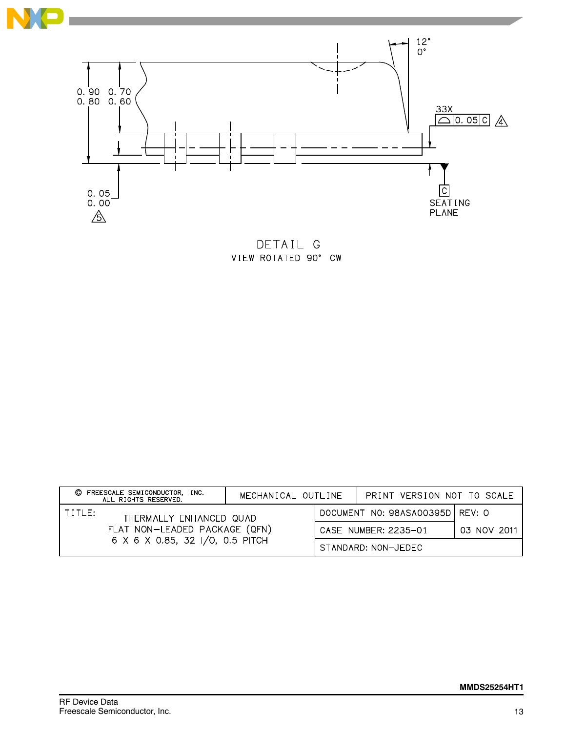



DETAIL G VIEW ROTATED 90° CW

| C FREESCALE SEMICONDUCTOR,<br>INC.<br>ALL RIGHTS RESERVED.                                            |  | MECHANICAL OUTLINE   |                                   | PRINT VERSION NOT TO SCALE |  |
|-------------------------------------------------------------------------------------------------------|--|----------------------|-----------------------------------|----------------------------|--|
| TITLE:<br>THERMALLY ENHANCED QUAD<br>FLAT NON-LEADED PACKAGE (QFN)<br>6 X 6 X 0.85, 32 I/O, 0.5 PITCH |  |                      | DOCUMENT NO: 98ASA00395D   REV: 0 |                            |  |
|                                                                                                       |  | CASE NUMBER: 2235-01 |                                   | 03 NOV 2011                |  |
|                                                                                                       |  |                      |                                   | STANDARD: NON-JEDEC        |  |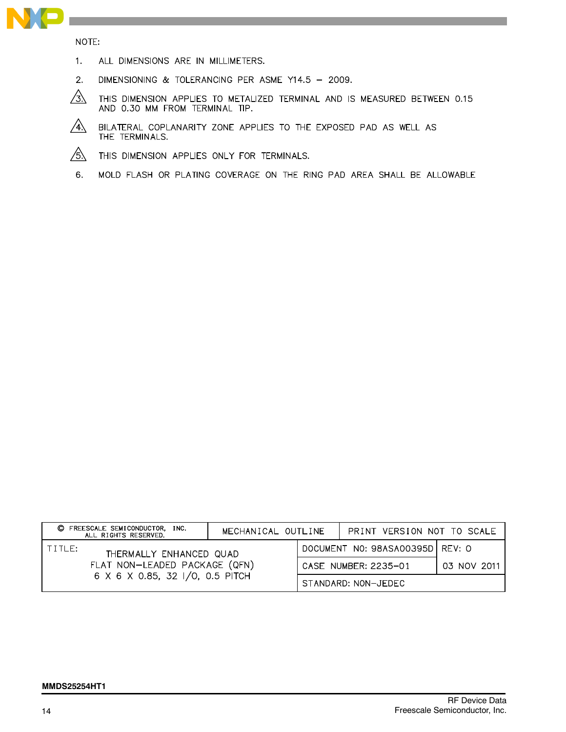

NOTE:

- $1.$ ALL DIMENSIONS ARE IN MILLIMETERS.
- $2.$ DIMENSIONING & TOLERANCING PER ASME Y14.5 - 2009.
- $\sqrt{3}$ THIS DIMENSION APPLIES TO METALIZED TERMINAL AND IS MEASURED BETWEEN 0.15 AND 0.30 MM FROM TERMINAL TIP.
- $\sqrt{4}$ BILATERAL COPLANARITY ZONE APPLIES TO THE EXPOSED PAD AS WELL AS THE TERMINALS.
- $/5\lambda$ THIS DIMENSION APPLIES ONLY FOR TERMINALS.
- 6. MOLD FLASH OR PLATING COVERAGE ON THE RING PAD AREA SHALL BE ALLOWABLE

| FREESCALE SEMICONDUCTOR, INC.<br>O<br>ALL RIGHTS RESERVED.                                            |  | MECHANICAL OUTLINE |                                 | PRINT VERSION NOT TO SCALE |             |
|-------------------------------------------------------------------------------------------------------|--|--------------------|---------------------------------|----------------------------|-------------|
| TITLE:<br>THERMALLY ENHANCED QUAD<br>FLAT NON-LEADED PACKAGE (QFN)<br>6 X 6 X 0.85, 32 I/O, 0.5 PITCH |  |                    | DOCUMENT NO: 98ASA00395D REV: 0 |                            |             |
|                                                                                                       |  |                    |                                 | CASE NUMBER: 2235-01       | 03 NOV 2011 |
|                                                                                                       |  |                    |                                 | STANDARD: NON-JEDEC        |             |

#### **MMDS25254HT1**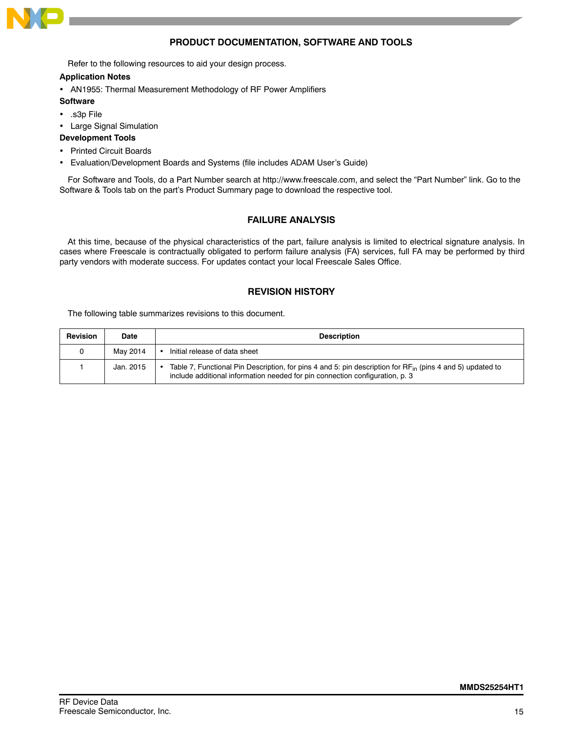

## **PRODUCT DOCUMENTATION, SOFTWARE AND TOOLS**

Refer to the following resources to aid your design process.

#### **Application Notes**

- AN1955: Thermal Measurement Methodology of RF Power Amplifiers
- **Software**
- .s3p File
- Large Signal Simulation

#### **Development Tools**

- Printed Circuit Boards
- Evaluation/Development Boards and Systems (file includes ADAM User's Guide)

For Software and Tools, do a Part Number search at http://www.freescale.com, and select the "Part Number" link. Go to the Software & Tools tab on the part's Product Summary page to download the respective tool.

## **FAILURE ANALYSIS**

At this time, because of the physical characteristics of the part, failure analysis is limited to electrical signature analysis. In cases where Freescale is contractually obligated to perform failure analysis (FA) services, full FA may be performed by third party vendors with moderate success. For updates contact your local Freescale Sales Office.

## **REVISION HISTORY**

The following table summarizes revisions to this document.

| <b>Revision</b> | Date      | <b>Description</b>                                                                                                                                                                             |
|-----------------|-----------|------------------------------------------------------------------------------------------------------------------------------------------------------------------------------------------------|
|                 | May 2014  | Initial release of data sheet                                                                                                                                                                  |
|                 | Jan. 2015 | Table 7, Functional Pin Description, for pins 4 and 5: pin description for $RF_{in}$ (pins 4 and 5) updated to<br>include additional information needed for pin connection configuration, p. 3 |